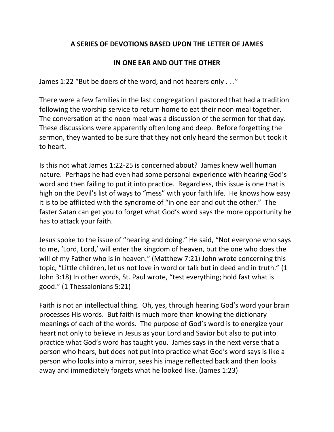## **A SERIES OF DEVOTIONS BASED UPON THE LETTER OF JAMES**

## **IN ONE EAR AND OUT THE OTHER**

James 1:22 "But be doers of the word, and not hearers only . . ."

There were a few families in the last congregation I pastored that had a tradition following the worship service to return home to eat their noon meal together. The conversation at the noon meal was a discussion of the sermon for that day. These discussions were apparently often long and deep. Before forgetting the sermon, they wanted to be sure that they not only heard the sermon but took it to heart.

Is this not what James 1:22-25 is concerned about? James knew well human nature. Perhaps he had even had some personal experience with hearing God's word and then failing to put it into practice. Regardless, this issue is one that is high on the Devil's list of ways to "mess" with your faith life. He knows how easy it is to be afflicted with the syndrome of "in one ear and out the other." The faster Satan can get you to forget what God's word says the more opportunity he has to attack your faith.

Jesus spoke to the issue of "hearing and doing." He said, "Not everyone who says to me, 'Lord, Lord,' will enter the kingdom of heaven, but the one who does the will of my Father who is in heaven." (Matthew 7:21) John wrote concerning this topic, "Little children, let us not love in word or talk but in deed and in truth." (1 John 3:18) In other words, St. Paul wrote, "test everything; hold fast what is good." (1 Thessalonians 5:21)

Faith is not an intellectual thing. Oh, yes, through hearing God's word your brain processes His words. But faith is much more than knowing the dictionary meanings of each of the words. The purpose of God's word is to energize your heart not only to believe in Jesus as your Lord and Savior but also to put into practice what God's word has taught you. James says in the next verse that a person who hears, but does not put into practice what God's word says is like a person who looks into a mirror, sees his image reflected back and then looks away and immediately forgets what he looked like. (James 1:23)